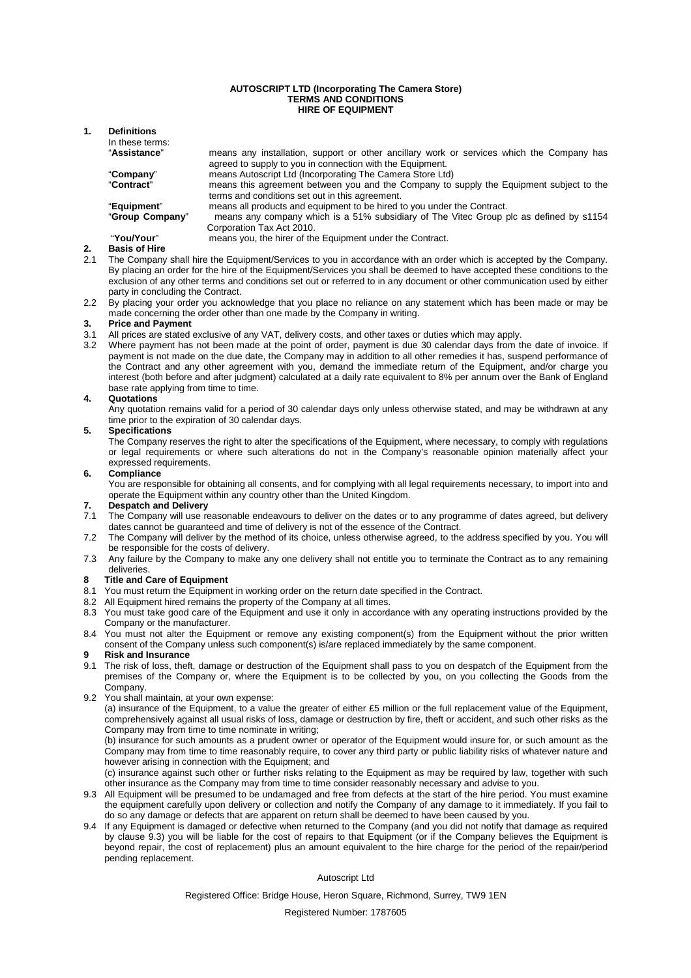#### **AUTOSCRIPT LTD (Incorporating The Camera Store) TERMS AND CONDITIONS HIRE OF EQUIPMENT**

### **1. Definitions**

| In these terms:      |                                                                                                                                                        |
|----------------------|--------------------------------------------------------------------------------------------------------------------------------------------------------|
| "Assistance"         | means any installation, support or other ancillary work or services which the Company has<br>agreed to supply to you in connection with the Equipment. |
| "Company"            | means Autoscript Ltd (Incorporating The Camera Store Ltd)                                                                                              |
| "Contract"           | means this agreement between you and the Company to supply the Equipment subject to the<br>terms and conditions set out in this agreement.             |
| "Equipment"          | means all products and equipment to be hired to you under the Contract.                                                                                |
| "Group Company"      | means any company which is a 51% subsidiary of The Vitec Group plc as defined by s1154<br>Corporation Tax Act 2010.                                    |
| "You/Your"           | means you, the hirer of the Equipment under the Contract.                                                                                              |
| <b>Poeie of Hiro</b> |                                                                                                                                                        |

- **2. Basis of Hire**  The Company shall hire the Equipment/Services to you in accordance with an order which is accepted by the Company. By placing an order for the hire of the Equipment/Services you shall be deemed to have accepted these conditions to the exclusion of any other terms and conditions set out or referred to in any document or other communication used by either party in concluding the Contract.
- 2.2 By placing your order you acknowledge that you place no reliance on any statement which has been made or may be made concerning the order other than one made by the Company in writing.

# **3. Price and Payment**<br>**3.1** All prices are stated **4**<br>**3.2** Where payment has

- All prices are stated exclusive of any VAT, delivery costs, and other taxes or duties which may apply.
- Where payment has not been made at the point of order, payment is due 30 calendar days from the date of invoice. If payment is not made on the due date, the Company may in addition to all other remedies it has, suspend performance of the Contract and any other agreement with you, demand the immediate return of the Equipment, and/or charge you interest (both before and after judgment) calculated at a daily rate equivalent to 8% per annum over the Bank of England base rate applying from time to time.

#### **4. Quotations**

Any quotation remains valid for a period of 30 calendar days only unless otherwise stated, and may be withdrawn at any time prior to the expiration of 30 calendar days.

#### **5. Specifications**

The Company reserves the right to alter the specifications of the Equipment, where necessary, to comply with regulations or legal requirements or where such alterations do not in the Company's reasonable opinion materially affect your expressed requirements.

#### **6. Compliance**

You are responsible for obtaining all consents, and for complying with all legal requirements necessary, to import into and operate the Equipment within any country other than the United Kingdom.

## **7. Despatch and Delivery**<br>**7.1** The Company will use re

- The Company will use reasonable endeavours to deliver on the dates or to any programme of dates agreed, but delivery dates cannot be guaranteed and time of delivery is not of the essence of the Contract.
- 7.2 The Company will deliver by the method of its choice, unless otherwise agreed, to the address specified by you. You will be responsible for the costs of delivery.
- 7.3 Any failure by the Company to make any one delivery shall not entitle you to terminate the Contract as to any remaining deliveries.

#### **8 Title and Care of Equipment**

- 8.1 You must return the Equipment in working order on the return date specified in the Contract.
- 8.2 All Equipment hired remains the property of the Company at all times.
- 8.3 You must take good care of the Equipment and use it only in accordance with any operating instructions provided by the Company or the manufacturer.
- 8.4 You must not alter the Equipment or remove any existing component(s) from the Equipment without the prior written consent of the Company unless such component(s) is/are replaced immediately by the same component.

#### **9 Risk and Insurance**

- 9.1 The risk of loss, theft, damage or destruction of the Equipment shall pass to you on despatch of the Equipment from the premises of the Company or, where the Equipment is to be collected by you, on you collecting the Goods from the Company.
- 9.2 You shall maintain, at your own expense:

(a) insurance of the Equipment, to a value the greater of either £5 million or the full replacement value of the Equipment, comprehensively against all usual risks of loss, damage or destruction by fire, theft or accident, and such other risks as the Company may from time to time nominate in writing;

(b) insurance for such amounts as a prudent owner or operator of the Equipment would insure for, or such amount as the Company may from time to time reasonably require, to cover any third party or public liability risks of whatever nature and however arising in connection with the Equipment; and

(c) insurance against such other or further risks relating to the Equipment as may be required by law, together with such other insurance as the Company may from time to time consider reasonably necessary and advise to you.

- 9.3 All Equipment will be presumed to be undamaged and free from defects at the start of the hire period. You must examine the equipment carefully upon delivery or collection and notify the Company of any damage to it immediately. If you fail to do so any damage or defects that are apparent on return shall be deemed to have been caused by you.
- 9.4 If any Equipment is damaged or defective when returned to the Company (and you did not notify that damage as required by clause 9.3) you will be liable for the cost of repairs to that Equipment (or if the Company believes the Equipment is beyond repair, the cost of replacement) plus an amount equivalent to the hire charge for the period of the repair/period pending replacement.

#### Autoscript Ltd

Registered Office: Bridge House, Heron Square, Richmond, Surrey, TW9 1EN

Registered Number: 1787605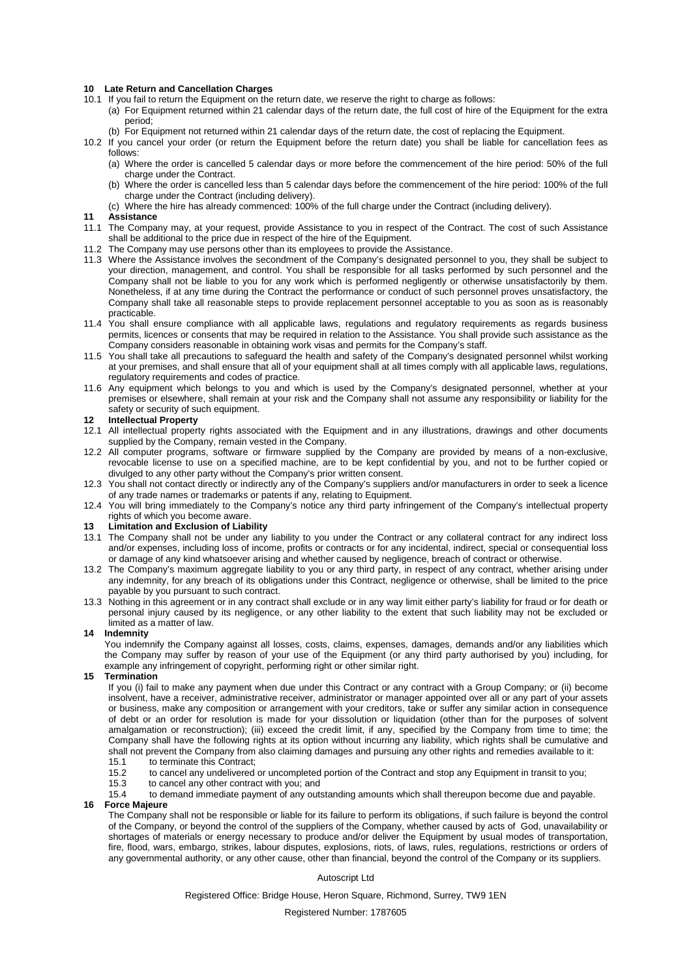#### **10 Late Return and Cancellation Charges**

- 10.1 If you fail to return the Equipment on the return date, we reserve the right to charge as follows:
	- (a) For Equipment returned within 21 calendar days of the return date, the full cost of hire of the Equipment for the extra period;
	- (b) For Equipment not returned within 21 calendar days of the return date, the cost of replacing the Equipment.
- 10.2 If you cancel your order (or return the Equipment before the return date) you shall be liable for cancellation fees as follows:
	- (a) Where the order is cancelled 5 calendar days or more before the commencement of the hire period: 50% of the full charge under the Contract.
	- (b) Where the order is cancelled less than 5 calendar days before the commencement of the hire period: 100% of the full charge under the Contract (including delivery).
	- (c) Where the hire has already commenced: 100% of the full charge under the Contract (including delivery).

#### **11 Assistance**

- 11.1 The Company may, at your request, provide Assistance to you in respect of the Contract. The cost of such Assistance shall be additional to the price due in respect of the hire of the Equipment.
- 11.2 The Company may use persons other than its employees to provide the Assistance.
- 11.3 Where the Assistance involves the secondment of the Company's designated personnel to you, they shall be subject to your direction, management, and control. You shall be responsible for all tasks performed by such personnel and the Company shall not be liable to you for any work which is performed negligently or otherwise unsatisfactorily by them. Nonetheless, if at any time during the Contract the performance or conduct of such personnel proves unsatisfactory, the Company shall take all reasonable steps to provide replacement personnel acceptable to you as soon as is reasonably practicable.
- 11.4 You shall ensure compliance with all applicable laws, regulations and regulatory requirements as regards business permits, licences or consents that may be required in relation to the Assistance. You shall provide such assistance as the Company considers reasonable in obtaining work visas and permits for the Company's staff.
- 11.5 You shall take all precautions to safeguard the health and safety of the Company's designated personnel whilst working at your premises, and shall ensure that all of your equipment shall at all times comply with all applicable laws, regulations, regulatory requirements and codes of practice.
- 11.6 Any equipment which belongs to you and which is used by the Company's designated personnel, whether at your premises or elsewhere, shall remain at your risk and the Company shall not assume any responsibility or liability for the safety or security of such equipment.

#### **12 Intellectual Property**

- 12.1 All intellectual property rights associated with the Equipment and in any illustrations, drawings and other documents supplied by the Company, remain vested in the Company.
- 12.2 All computer programs, software or firmware supplied by the Company are provided by means of a non-exclusive, revocable license to use on a specified machine, are to be kept confidential by you, and not to be further copied or divulged to any other party without the Company's prior written consent.
- 12.3 You shall not contact directly or indirectly any of the Company's suppliers and/or manufacturers in order to seek a licence of any trade names or trademarks or patents if any, relating to Equipment.
- 12.4 You will bring immediately to the Company's notice any third party infringement of the Company's intellectual property rights of which you become aware.

#### **13 Limitation and Exclusion of Liability**

- 13.1 The Company shall not be under any liability to you under the Contract or any collateral contract for any indirect loss and/or expenses, including loss of income, profits or contracts or for any incidental, indirect, special or consequential loss or damage of any kind whatsoever arising and whether caused by negligence, breach of contract or otherwise.
- 13.2 The Company's maximum aggregate liability to you or any third party, in respect of any contract, whether arising under any indemnity, for any breach of its obligations under this Contract, negligence or otherwise, shall be limited to the price payable by you pursuant to such contract.
- 13.3 Nothing in this agreement or in any contract shall exclude or in any way limit either party's liability for fraud or for death or personal injury caused by its negligence, or any other liability to the extent that such liability may not be excluded or limited as a matter of law.

#### **14 Indemnity**

You indemnify the Company against all losses, costs, claims, expenses, damages, demands and/or any liabilities which the Company may suffer by reason of your use of the Equipment (or any third party authorised by you) including, for example any infringement of copyright, performing right or other similar right.

#### **15 Termination**

If you (i) fail to make any payment when due under this Contract or any contract with a Group Company; or (ii) become insolvent, have a receiver, administrative receiver, administrator or manager appointed over all or any part of your assets or business, make any composition or arrangement with your creditors, take or suffer any similar action in consequence of debt or an order for resolution is made for your dissolution or liquidation (other than for the purposes of solvent amalgamation or reconstruction); (iii) exceed the credit limit, if any, specified by the Company from time to time; the Company shall have the following rights at its option without incurring any liability, which rights shall be cumulative and shall not prevent the Company from also claiming damages and pursuing any other rights and remedies available to it:

- 15.1 to terminate this Contract;
- 15.2 to cancel any undelivered or uncompleted portion of the Contract and stop any Equipment in transit to you;<br>15.3 to cancel any other contract with you: and
- to cancel any other contract with you; and
- 15.4 to demand immediate payment of any outstanding amounts which shall thereupon become due and payable.

#### **16 Force Majeure**

The Company shall not be responsible or liable for its failure to perform its obligations, if such failure is beyond the control of the Company, or beyond the control of the suppliers of the Company, whether caused by acts of God, unavailability or shortages of materials or energy necessary to produce and/or deliver the Equipment by usual modes of transportation, fire, flood, wars, embargo, strikes, labour disputes, explosions, riots, of laws, rules, regulations, restrictions or orders of any governmental authority, or any other cause, other than financial, beyond the control of the Company or its suppliers.

#### Autoscript Ltd

Registered Office: Bridge House, Heron Square, Richmond, Surrey, TW9 1EN

Registered Number: 1787605